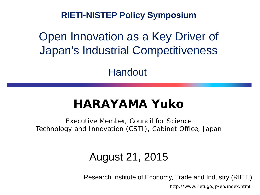**RIETI-NISTEP Policy Symposium**

Open Innovation as a Key Driver of Japan's Industrial Competitiveness

Handout

#### **HARAYAMA Yuko**

Executive Member, Council for Science Technology and Innovation (CSTI), Cabinet Office, Japan

#### August 21, 2015

Research Institute of Economy, Trade and Industry (RIETI)

http://www.rieti.go.jp/en/index.html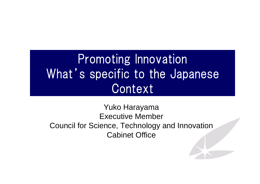#### Promoting Innovation What's specific to the Japanese Context

#### Yuko Harayama Executive Member Council for Science, Technology and Innovation Cabinet Office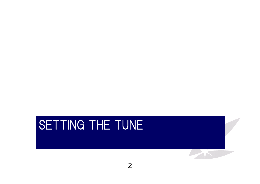#### SETTING THE TUNE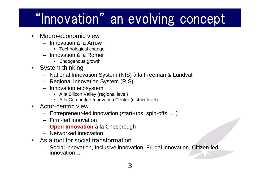### "Innovation" an evolving concept

- • Macro-economic view
	- Innovation à la Arrow
		- Technological change
	- Innovation à la Romer
		- Endogenous growth
- System thinking
	- National Innovation System (NIS) à la Freeman & Lundvall
	- Regional Innovation System (RIS)
	- Innovation ecosystem
		- A la Silicon Valley (regional level)
		- A la Cambridge Innovation Center (district level)
- • Actor-centric view
	- Entrepreneur-led innovation (start-ups, spin-offs, …)
	- Firm-led innovation
	- **Open Innovation** à la Chesbrough
	- Networked innovation
- As a tool for social transformation
	- Social innovation, Inclusive innovation, Frugal innovation, Citizen-led innovation…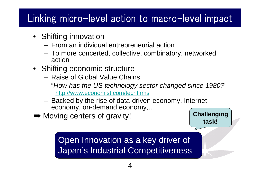#### Linking micro-level action to macro-level impact

- Shifting innovation
	- **Links of the Company** From an individual entrepreneurial action
	- – To more concerted, collective, combinatory, networked action
- Shifting economic structure
	- Raise of Global Value Chains
	- "*How has the US technology sector changed since 1980?*" http://www.economist.com/techfirms
	- Backed by the rise of data-driven economy, Internet economy, on-demand economy,…
- **→ Moving centers of gravity!**

**Challenging task!**

Open Innovation as a key driver of Japan's Industrial Competitiveness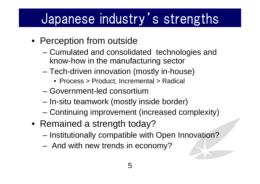#### Japanese industry's strengths

- Perception from outside
	- – Cumulated and consolidated technologies and know-how in the manufacturing sector
	- – Tech-driven innovation (mostly in-house)
		- Process > Product, Incremental > Radical
	- Government-led consortium
	- –In-situ teamwork (mostly inside border)
	- –Continuing improvement (increased complexity)
- Remained a strength today?
	- –Institutionally compatible with Open Innovation?
	- And with new trends in economy?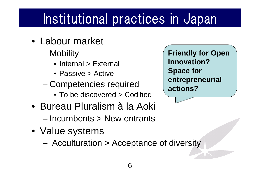### Institutional practices in Japan

- Labour market
	- –**Mobility** 
		- Internal > External
		- Passive > Active
	- – Competencies required
		- To be discovered > Codified
- Bureau Pluralism à la Aoki – Incumbents > New entrants
- Value systems
	- –Acculturation > Acceptance of diversity

**Friendly for Open Innovation?Space for entrepreneurial actions?**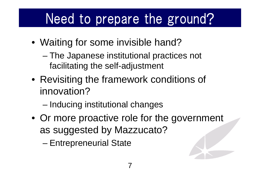### Need to prepare the ground?

- Waiting for some invisible hand?
	- – The Japanese institutional practices not facilitating the self-adjustment
- Revisiting the framework conditions of innovation?
	- –Inducing institutional changes
- Or more proactive role for the government as suggested by Mazzucato?

–Entrepreneurial State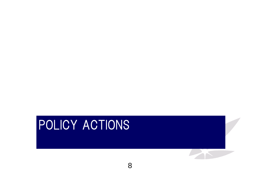#### POLICY ACTIONS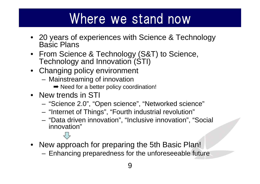#### Where we stand now

- 20 years of experiences with Science & Technology Basic Plans
- From Science & Technology (S&T) to Science, Technology and Innovation (STI)
- Changing policy environment
	- Mainstreaming of innovation
		- **→ Need for a better policy coordination!**
- New trends in STI
	- –"Science 2.0", "Open science", "Networked science"
	- –"Internet of Things", "Fourth industrial revolution"
	- "Data driven innovation", "Inclusive innovation", "Social innovation"
		-
- New approach for preparing the 5th Basic Plan!
	- Enhancing preparedness for the unforeseeable future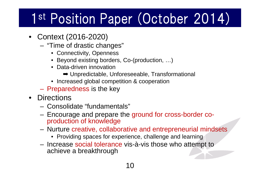### 1<sup>st</sup> Position Paper (October 2014)

- Context (2016-2020)
	- "Time of drastic changes"
		- Connectivity, Openness
		- Beyond existing borders, Co-(production, …)
		- Data-driven innovation
			- ➡ Unpredictable, Unforeseeable, Transformational
		- Increased global competition & cooperation
	- Preparedness is the key
- Directions
	- Consolidate "fundamentals"
	- – Encourage and prepare the ground for cross-border coproduction of knowledge
	- Nurture creative, collaborative and entrepreneurial mindsets
		- Providing spaces for experience, challenge and learning
	- Increase social tolerance vis-à-vis those who attempt to achieve a breakthrough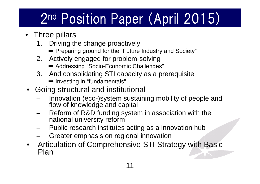### 2nd Position Paper (April 2015)

- Three pillars
	- 1. Driving the change proactively
		- ➡ Preparing ground for the "Future Industry and Society"
	- 2. Actively engaged for problem-solving
		- **→ Addressing "Socio-Economic Challenges"**
	- 3. And consolidating STI capacity as a prerequisite **→ Investing in "fundamentals"**
- Going structural and institutional
	- Innovation (eco-)system sustaining mobility of people and flow of knowledge and capital
	- Reform of R&D funding system in association with the national university reform
	- Public research institutes acting as a innovation hub
	- –Greater emphasis on regional innovation
- $\bullet$  Articulation of Comprehensive STI Strategy with Basic Plan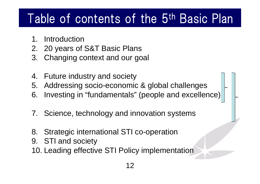#### Table of contents of the 5th Basic Plan

- 1. Introduction
- 2. 20 years of S&T Basic Plans
- 3. Changing context and our goal
- 4. Future industry and society
- 5. Addressing socio-economic & global challenges
- 6. Investing in "fundamentals" (people and excellence)
- 7. Science, technology and innovation systems
- 8. Strategic international STI co-operation
- 9. STI and society
- 10. Leading effective STI Policy implementation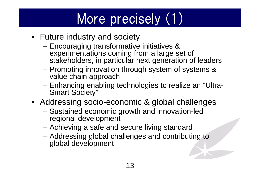## More precisely (1)

- Future industry and society
	- – Encouraging transformative initiatives & experimentations coming from a large set of stakeholders, in particular next generation of leaders
	- – Promoting innovation through system of systems & value chain approach
	- – Enhancing enabling technologies to realize an "Ultra-Smart Society"
- Addressing socio-economic & global challenges
	- Sustained economic growth and innovation-led regional development
	- Achieving a safe and secure living standard
	- – Addressing global challenges and contributing to global development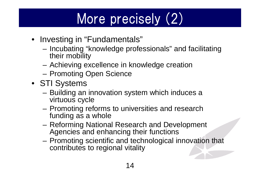# More precisely (2)

- Investing in "Fundamentals"
	- – Incubating "knowledge professionals" and facilitating their mobility
	- –Achieving excellence in knowledge creation
	- –Promoting Open Science
- STI Systems
	- – Building an innovation system which induces a virtuous cycle
	- – Promoting reforms to universities and research funding as a whole
	- – Reforming National Research and Development Agencies and enhancing their functions
	- – Promoting scientific and technological innovation that contributes to regional vitality